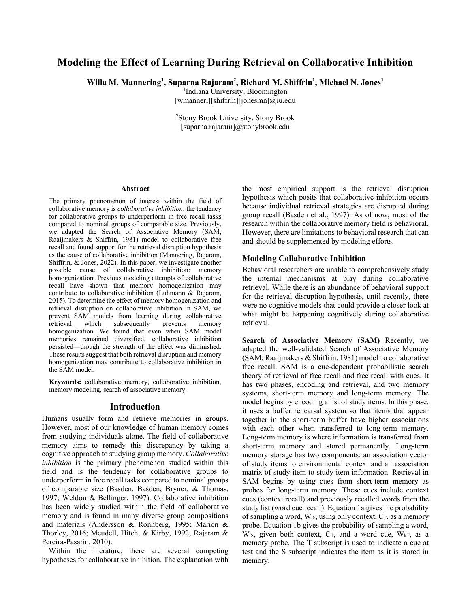# **Modeling the Effect of Learning During Retrieval on Collaborative Inhibition**

Willa M. Mannering<sup>1</sup>, Suparna Rajaram<sup>2</sup>, Richard M. Shiffrin<sup>1</sup>, Michael N. Jones<sup>1</sup>

1 Indiana University, Bloomington

[wmanneri][shiffrin][jonesmn]@iu.edu

2 Stony Brook University, Stony Brook [suparna.rajaram]@stonybrook.edu

#### **Abstract**

The primary phenomenon of interest within the field of collaborative memory is *collaborative inhibition*: the tendency for collaborative groups to underperform in free recall tasks compared to nominal groups of comparable size. Previously, we adapted the Search of Associative Memory (SAM; Raaijmakers & Shiffrin, 1981) model to collaborative free recall and found support for the retrieval disruption hypothesis as the cause of collaborative inhibition (Mannering, Rajaram, Shiffrin, & Jones, 2022). In this paper, we investigate another possible cause of collaborative inhibition: memory homogenization. Previous modeling attempts of collaborative recall have shown that memory homogenization may contribute to collaborative inhibition (Luhmann & Rajaram, 2015). To determine the effect of memory homogenization and retrieval disruption on collaborative inhibition in SAM, we prevent SAM models from learning during collaborative<br>retrieval which subsequently prevents memory retrieval which subsequently prevents memory homogenization. We found that even when SAM model memories remained diversified, collaborative inhibition persisted—though the strength of the effect was diminished. These results suggest that both retrieval disruption and memory homogenization may contribute to collaborative inhibition in the SAM model.

**Keywords:** collaborative memory, collaborative inhibition, memory modeling, search of associative memory

### **Introduction**

Humans usually form and retrieve memories in groups. However, most of our knowledge of human memory comes from studying individuals alone. The field of collaborative memory aims to remedy this discrepancy by taking a cognitive approach to studying group memory. *Collaborative inhibition* is the primary phenomenon studied within this field and is the tendency for collaborative groups to underperform in free recall tasks compared to nominal groups of comparable size (Basden, Basden, Bryner, & Thomas, 1997; Weldon & Bellinger, 1997). Collaborative inhibition has been widely studied within the field of collaborative memory and is found in many diverse group compositions and materials (Andersson & Ronnberg, 1995; Marion & Thorley, 2016; Meudell, Hitch, & Kirby, 1992; Rajaram & Pereira-Pasarin, 2010).

Within the literature, there are several competing hypotheses for collaborative inhibition. The explanation with

the most empirical support is the retrieval disruption hypothesis which posits that collaborative inhibition occurs because individual retrieval strategies are disrupted during group recall (Basden et al., 1997). As of now, most of the research within the collaborative memory field is behavioral. However, there are limitations to behavioral research that can and should be supplemented by modeling efforts.

### **Modeling Collaborative Inhibition**

Behavioral researchers are unable to comprehensively study the internal mechanisms at play during collaborative retrieval. While there is an abundance of behavioral support for the retrieval disruption hypothesis, until recently, there were no cognitive models that could provide a closer look at what might be happening cognitively during collaborative retrieval.

**Search of Associative Memory (SAM)** Recently, we adapted the well-validated Search of Associative Memory (SAM; Raaijmakers & Shiffrin, 1981) model to collaborative free recall. SAM is a cue-dependent probabilistic search theory of retrieval of free recall and free recall with cues. It has two phases, encoding and retrieval, and two memory systems, short-term memory and long-term memory. The model begins by encoding a list of study items. In this phase, it uses a buffer rehearsal system so that items that appear together in the short-term buffer have higher associations with each other when transferred to long-term memory. Long-term memory is where information is transferred from short-term memory and stored permanently. Long-term memory storage has two components: an association vector of study items to environmental context and an association matrix of study item to study item information. Retrieval in SAM begins by using cues from short-term memory as probes for long-term memory. These cues include context cues (context recall) and previously recalled words from the study list (word cue recall). Equation 1a gives the probability of sampling a word,  $W_{iS}$ , using only context,  $C_T$ , as a memory probe. Equation 1b gives the probability of sampling a word,  $W_{iS}$ , given both context,  $C_T$ , and a word cue,  $W_{kT}$ , as a memory probe. The T subscript is used to indicate a cue at test and the S subscript indicates the item as it is stored in memory.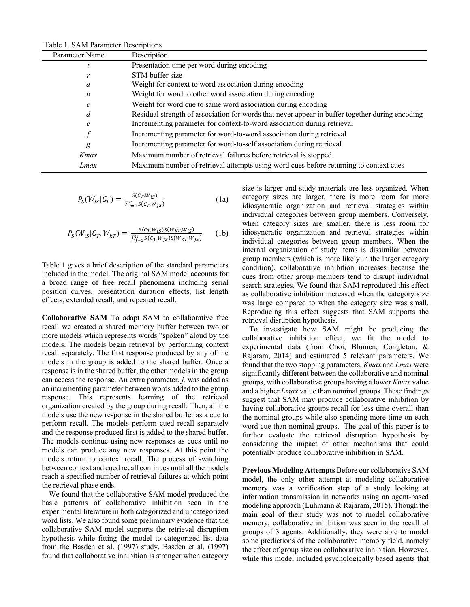| Table 1. SAM Parameter Descriptions |                                                                                                 |  |
|-------------------------------------|-------------------------------------------------------------------------------------------------|--|
| Parameter Name                      | Description                                                                                     |  |
|                                     | Presentation time per word during encoding                                                      |  |
| r                                   | STM buffer size                                                                                 |  |
| a                                   | Weight for context to word association during encoding                                          |  |
| b                                   | Weight for word to other word association during encoding                                       |  |
| с                                   | Weight for word cue to same word association during encoding                                    |  |
| d                                   | Residual strength of association for words that never appear in buffer together during encoding |  |
| e                                   | Incrementing parameter for context-to-word association during retrieval                         |  |
|                                     | Incrementing parameter for word-to-word association during retrieval                            |  |
| g                                   | Incrementing parameter for word-to-self association during retrieval                            |  |
| Kmax                                | Maximum number of retrieval failures before retrieval is stopped                                |  |
| Lmax                                | Maximum number of retrieval attempts using word cues before returning to context cues           |  |
|                                     |                                                                                                 |  |

 $T<sub>o</sub>$ ble 1. SAM De

$$
P_{S}(W_{iS}|C_{T}) = \frac{S(C_{T}, W_{iS})}{\sum_{j=1}^{n} S(C_{T}, W_{jS})}
$$
(1a)

$$
P_{S}(W_{iS}|C_{T},W_{kT}) = \frac{S(C_{T},W_{iS})S(W_{kT},W_{iS})}{\sum_{j=1}^{n} S(C_{T},W_{jS})S(W_{kT},W_{jS})}
$$
(1b)

Table 1 gives a brief description of the standard parameters included in the model. The original SAM model accounts for a broad range of free recall phenomena including serial position curves, presentation duration effects, list length effects, extended recall, and repeated recall.

**Collaborative SAM** To adapt SAM to collaborative free recall we created a shared memory buffer between two or more models which represents words "spoken" aloud by the models. The models begin retrieval by performing context recall separately. The first response produced by any of the models in the group is added to the shared buffer. Once a response is in the shared buffer, the other models in the group can access the response. An extra parameter, *j,* was added as an incrementing parameter between words added to the group response. This represents learning of the retrieval organization created by the group during recall. Then, all the models use the new response in the shared buffer as a cue to perform recall. The models perform cued recall separately and the response produced first is added to the shared buffer. The models continue using new responses as cues until no models can produce any new responses. At this point the models return to context recall. The process of switching between context and cued recall continues until all the models reach a specified number of retrieval failures at which point the retrieval phase ends.

We found that the collaborative SAM model produced the basic patterns of collaborative inhibition seen in the experimental literature in both categorized and uncategorized word lists. We also found some preliminary evidence that the collaborative SAM model supports the retrieval disruption hypothesis while fitting the model to categorized list data from the Basden et al. (1997) study. Basden et al. (1997) found that collaborative inhibition is stronger when category

size is larger and study materials are less organized. When category sizes are larger, there is more room for more idiosyncratic organization and retrieval strategies within individual categories between group members. Conversely, when category sizes are smaller, there is less room for idiosyncratic organization and retrieval strategies within individual categories between group members. When the internal organization of study items is dissimilar between group members (which is more likely in the larger category condition), collaborative inhibition increases because the cues from other group members tend to disrupt individual search strategies. We found that SAM reproduced this effect as collaborative inhibition increased when the category size was large compared to when the category size was small. Reproducing this effect suggests that SAM supports the retrieval disruption hypothesis.

To investigate how SAM might be producing the collaborative inhibition effect, we fit the model to experimental data (from Choi, Blumen, Congleton, & Rajaram, 2014) and estimated 5 relevant parameters. We found that the two stopping parameters, *Kmax* and *Lmax* were significantly different between the collaborative and nominal groups, with collaborative groups having a lower *Kmax* value and a higher *Lmax* value than nominal groups. These findings suggest that SAM may produce collaborative inhibition by having collaborative groups recall for less time overall than the nominal groups while also spending more time on each word cue than nominal groups. The goal of this paper is to further evaluate the retrieval disruption hypothesis by considering the impact of other mechanisms that could potentially produce collaborative inhibition in SAM.

**Previous Modeling Attempts** Before our collaborative SAM model, the only other attempt at modeling collaborative memory was a verification step of a study looking at information transmission in networks using an agent-based modeling approach (Luhmann & Rajaram, 2015). Though the main goal of their study was not to model collaborative memory, collaborative inhibition was seen in the recall of groups of 3 agents. Additionally, they were able to model some predictions of the collaborative memory field, namely the effect of group size on collaborative inhibition. However, while this model included psychologically based agents that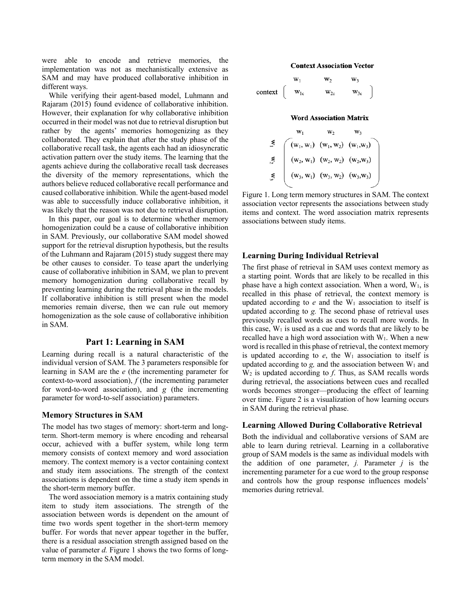were able to encode and retrieve memories, the implementation was not as mechanistically extensive as SAM and may have produced collaborative inhibition in different ways.

While verifying their agent-based model, Luhmann and Rajaram (2015) found evidence of collaborative inhibition. However, their explanation for why collaborative inhibition occurred in their model was not due to retrieval disruption but rather by the agents' memories homogenizing as they collaborated. They explain that after the study phase of the collaborative recall task, the agents each had an idiosyncratic activation pattern over the study items. The learning that the agents achieve during the collaborative recall task decreases the diversity of the memory representations, which the authors believe reduced collaborative recall performance and caused collaborative inhibition. While the agent-based model was able to successfully induce collaborative inhibition, it was likely that the reason was not due to retrieval disruption.

In this paper, our goal is to determine whether memory homogenization could be a cause of collaborative inhibition in SAM. Previously, our collaborative SAM model showed support for the retrieval disruption hypothesis, but the results of the Luhmann and Rajaram (2015) study suggest there may be other causes to consider. To tease apart the underlying cause of collaborative inhibition in SAM, we plan to prevent memory homogenization during collaborative recall by preventing learning during the retrieval phase in the models. If collaborative inhibition is still present when the model memories remain diverse, then we can rule out memory homogenization as the sole cause of collaborative inhibition in SAM.

### **Part 1: Learning in SAM**

Learning during recall is a natural characteristic of the individual version of SAM. The 3 parameters responsible for learning in SAM are the *e* (the incrementing parameter for context-to-word association), *f* (the incrementing parameter for word-to-word association), and *g* (the incrementing parameter for word-to-self association) parameters.

#### **Memory Structures in SAM**

The model has two stages of memory: short-term and longterm. Short-term memory is where encoding and rehearsal occur, achieved with a buffer system, while long term memory consists of context memory and word association memory. The context memory is a vector containing context and study item associations. The strength of the context associations is dependent on the time a study item spends in the short-term memory buffer.

The word association memory is a matrix containing study item to study item associations. The strength of the association between words is dependent on the amount of time two words spent together in the short-term memory buffer. For words that never appear together in the buffer, there is a residual association strength assigned based on the value of parameter *d.* Figure 1 shows the two forms of longterm memory in the SAM model.

#### **Context Association Vector**

$$
\begin{matrix} & & & & w_1 & & & w_3 \\ & w_{1c} & & & w_{2c} & & w_{3c} \\ & w_{1c} & & & w_{2c} & & w_{3c} \end{matrix}
$$

### **Word Association Matrix**

$$
\begin{array}{ccc}\n & w_1 & w_2 & w_3 \\
\leq & & (w_1, w_1) & (w_1, w_2) & (w_1, w_3) \\
\leq & & (w_2, w_1) & (w_2, w_2) & (w_2, w_3) \\
\leq & & (w_3, w_1) & (w_3, w_2) & (w_3, w_3)\n\end{array}
$$

Figure 1. Long term memory structures in SAM. The context association vector represents the associations between study items and context. The word association matrix represents associations between study items.

### **Learning During Individual Retrieval**

The first phase of retrieval in SAM uses context memory as a starting point. Words that are likely to be recalled in this phase have a high context association. When a word,  $W_1$ , is recalled in this phase of retrieval, the context memory is updated according to  $e$  and the  $W_1$  association to itself is updated according to *g.* The second phase of retrieval uses previously recalled words as cues to recall more words. In this case,  $W_1$  is used as a cue and words that are likely to be recalled have a high word association with  $W_1$ . When a new word is recalled in this phase of retrieval, the context memory is updated according to  $e$ , the  $W_1$  association to itself is updated according to  $g$ , and the association between  $W_1$  and W2 is updated according to *f*. Thus, as SAM recalls words during retrieval, the associations between cues and recalled words becomes stronger—producing the effect of learning over time. Figure 2 is a visualization of how learning occurs in SAM during the retrieval phase.

## **Learning Allowed During Collaborative Retrieval**

Both the individual and collaborative versions of SAM are able to learn during retrieval. Learning in a collaborative group of SAM models is the same as individual models with the addition of one parameter, *j.* Parameter *j* is the incrementing parameter for a cue word to the group response and controls how the group response influences models' memories during retrieval.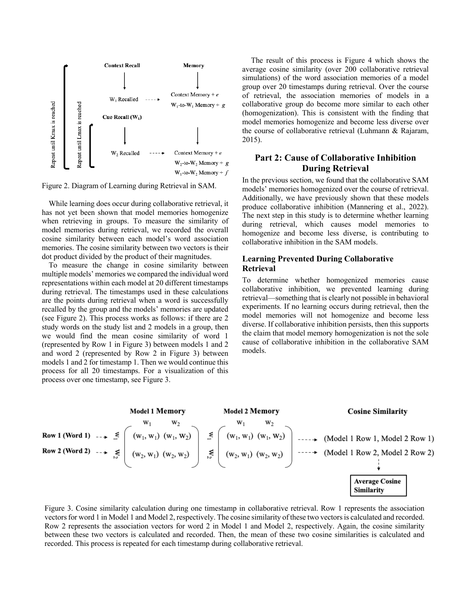

Figure 2. Diagram of Learning during Retrieval in SAM.

While learning does occur during collaborative retrieval, it has not yet been shown that model memories homogenize when retrieving in groups. To measure the similarity of model memories during retrieval, we recorded the overall cosine similarity between each model's word association memories. The cosine similarity between two vectors is their dot product divided by the product of their magnitudes.

To measure the change in cosine similarity between multiple models' memories we compared the individual word representations within each model at 20 different timestamps during retrieval. The timestamps used in these calculations are the points during retrieval when a word is successfully recalled by the group and the models' memories are updated (see Figure 2). This process works as follows: if there are 2 study words on the study list and 2 models in a group, then we would find the mean cosine similarity of word 1 (represented by Row 1 in Figure 3) between models 1 and 2 and word 2 (represented by Row 2 in Figure 3) between models 1 and 2 for timestamp 1. Then we would continue this process for all 20 timestamps. For a visualization of this process over one timestamp, see Figure 3.

The result of this process is Figure 4 which shows the average cosine similarity (over 200 collaborative retrieval simulations) of the word association memories of a model group over 20 timestamps during retrieval. Over the course of retrieval, the association memories of models in a collaborative group do become more similar to each other (homogenization). This is consistent with the finding that model memories homogenize and become less diverse over the course of collaborative retrieval (Luhmann & Rajaram, 2015).

# **Part 2: Cause of Collaborative Inhibition During Retrieval**

In the previous section, we found that the collaborative SAM models' memories homogenized over the course of retrieval. Additionally, we have previously shown that these models produce collaborative inhibition (Mannering et al., 2022). The next step in this study is to determine whether learning during retrieval, which causes model memories to homogenize and become less diverse, is contributing to collaborative inhibition in the SAM models.

## **Learning Prevented During Collaborative Retrieval**

To determine whether homogenized memories cause collaborative inhibition, we prevented learning during retrieval—something that is clearly not possible in behavioral experiments. If no learning occurs during retrieval, then the model memories will not homogenize and become less diverse. If collaborative inhibition persists, then this supports the claim that model memory homogenization is not the sole cause of collaborative inhibition in the collaborative SAM models.



Figure 3. Cosine similarity calculation during one timestamp in collaborative retrieval. Row 1 represents the association vectors for word 1 in Model 1 and Model 2, respectively. The cosine similarity of these two vectors is calculated and recorded. Row 2 represents the association vectors for word 2 in Model 1 and Model 2, respectively. Again, the cosine similarity between these two vectors is calculated and recorded. Then, the mean of these two cosine similarities is calculated and recorded. This process is repeated for each timestamp during collaborative retrieval.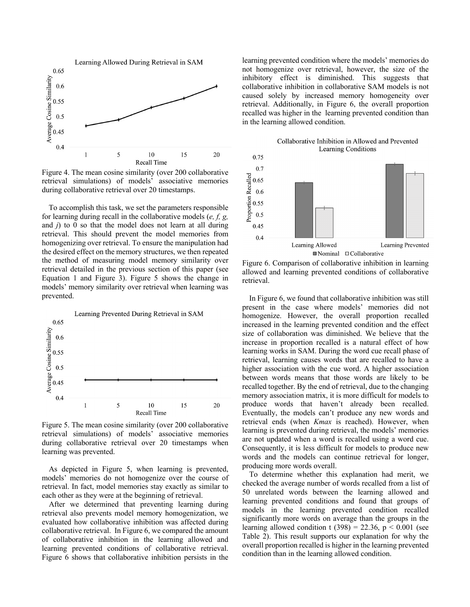

Figure 4. The mean cosine similarity (over 200 collaborative retrieval simulations) of models' associative memories during collaborative retrieval over 20 timestamps.

To accomplish this task, we set the parameters responsible for learning during recall in the collaborative models (*e, f, g,*  and *j*) to 0 so that the model does not learn at all during retrieval. This should prevent the model memories from homogenizing over retrieval. To ensure the manipulation had the desired effect on the memory structures, we then repeated the method of measuring model memory similarity over retrieval detailed in the previous section of this paper (see Equation 1 and Figure 3). Figure 5 shows the change in models' memory similarity over retrieval when learning was prevented.



Figure 5. The mean cosine similarity (over 200 collaborative retrieval simulations) of models' associative memories during collaborative retrieval over 20 timestamps when learning was prevented.

As depicted in Figure 5, when learning is prevented, models' memories do not homogenize over the course of retrieval. In fact, model memories stay exactly as similar to each other as they were at the beginning of retrieval.

After we determined that preventing learning during retrieval also prevents model memory homogenization, we evaluated how collaborative inhibition was affected during collaborative retrieval. In Figure 6, we compared the amount of collaborative inhibition in the learning allowed and learning prevented conditions of collaborative retrieval. Figure 6 shows that collaborative inhibition persists in the

learning prevented condition where the models' memories do not homogenize over retrieval, however, the size of the inhibitory effect is diminished. This suggests that collaborative inhibition in collaborative SAM models is not caused solely by increased memory homogeneity over retrieval. Additionally, in Figure 6, the overall proportion recalled was higher in the learning prevented condition than in the learning allowed condition.



Figure 6. Comparison of collaborative inhibition in learning allowed and learning prevented conditions of collaborative retrieval.

In Figure 6, we found that collaborative inhibition was still present in the case where models' memories did not homogenize. However, the overall proportion recalled increased in the learning prevented condition and the effect size of collaboration was diminished. We believe that the increase in proportion recalled is a natural effect of how learning works in SAM. During the word cue recall phase of retrieval, learning causes words that are recalled to have a higher association with the cue word. A higher association between words means that those words are likely to be recalled together. By the end of retrieval, due to the changing memory association matrix, it is more difficult for models to produce words that haven't already been recalled. Eventually, the models can't produce any new words and retrieval ends (when *Kmax* is reached). However, when learning is prevented during retrieval, the models' memories are not updated when a word is recalled using a word cue. Consequently, it is less difficult for models to produce new words and the models can continue retrieval for longer, producing more words overall.

To determine whether this explanation had merit, we checked the average number of words recalled from a list of 50 unrelated words between the learning allowed and learning prevented conditions and found that groups of models in the learning prevented condition recalled significantly more words on average than the groups in the learning allowed condition t  $(398) = 22.36$ , p < 0.001 (see Table 2). This result supports our explanation for why the overall proportion recalled is higher in the learning prevented condition than in the learning allowed condition.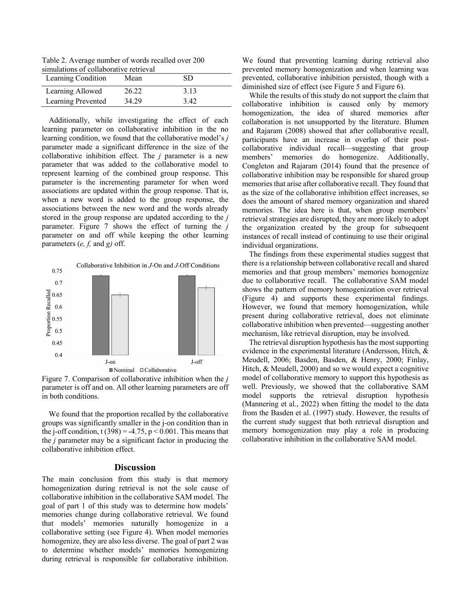Table 2. Average number of words recalled over 200 simulations of collaborative retrieval

| Learning Condition | Mean  | SD.  |  |
|--------------------|-------|------|--|
| Learning Allowed   | 26.22 | 3.13 |  |
| Learning Prevented | 34.29 | 3.42 |  |

Additionally, while investigating the effect of each learning parameter on collaborative inhibition in the no learning condition, we found that the collaborative model's *j*  parameter made a significant difference in the size of the collaborative inhibition effect. The *j* parameter is a new parameter that was added to the collaborative model to represent learning of the combined group response. This parameter is the incrementing parameter for when word associations are updated within the group response. That is, when a new word is added to the group response, the associations between the new word and the words already stored in the group response are updated according to the *j*  parameter. Figure 7 shows the effect of turning the *j*  parameter on and off while keeping the other learning parameters (*e, f,* and *g)* off.



Figure 7. Comparison of collaborative inhibition when the *j*  parameter is off and on. All other learning parameters are off in both conditions.

We found that the proportion recalled by the collaborative groups was significantly smaller in the j-on condition than in the j-off condition, t (398) = -4.75,  $p < 0.001$ . This means that the *j* parameter may be a significant factor in producing the collaborative inhibition effect.

## **Discussion**

The main conclusion from this study is that memory homogenization during retrieval is not the sole cause of collaborative inhibition in the collaborative SAM model. The goal of part 1 of this study was to determine how models' memories change during collaborative retrieval. We found that models' memories naturally homogenize in a collaborative setting (see Figure 4). When model memories homogenize, they are also less diverse. The goal of part 2 was to determine whether models' memories homogenizing during retrieval is responsible for collaborative inhibition.

We found that preventing learning during retrieval also prevented memory homogenization and when learning was prevented, collaborative inhibition persisted, though with a diminished size of effect (see Figure 5 and Figure 6).

While the results of this study do not support the claim that collaborative inhibition is caused only by memory homogenization, the idea of shared memories after collaboration is not unsupported by the literature. Blumen and Rajaram (2008) showed that after collaborative recall, participants have an increase in overlap of their postcollaborative individual recall—suggesting that group members' memories do homogenize. Additionally, Congleton and Rajaram (2014) found that the presence of collaborative inhibition may be responsible for shared group memories that arise after collaborative recall. They found that as the size of the collaborative inhibition effect increases, so does the amount of shared memory organization and shared memories. The idea here is that, when group members' retrieval strategies are disrupted, they are more likely to adopt the organization created by the group for subsequent instances of recall instead of continuing to use their original individual organizations.

The findings from these experimental studies suggest that there is a relationship between collaborative recall and shared memories and that group members' memories homogenize due to collaborative recall. The collaborative SAM model shows the pattern of memory homogenization over retrieval (Figure 4) and supports these experimental findings. However, we found that memory homogenization, while present during collaborative retrieval, does not eliminate collaborative inhibition when prevented—suggesting another mechanism, like retrieval disruption, may be involved.

The retrieval disruption hypothesis has the most supporting evidence in the experimental literature (Andersson, Hitch, & Meudell, 2006; Basden, Basden, & Henry, 2000; Finlay, Hitch, & Meudell, 2000) and so we would expect a cognitive model of collaborative memory to support this hypothesis as well. Previously, we showed that the collaborative SAM model supports the retrieval disruption hypothesis (Mannering et al., 2022) when fitting the model to the data from the Basden et al. (1997) study. However, the results of the current study suggest that both retrieval disruption and memory homogenization may play a role in producing collaborative inhibition in the collaborative SAM model.